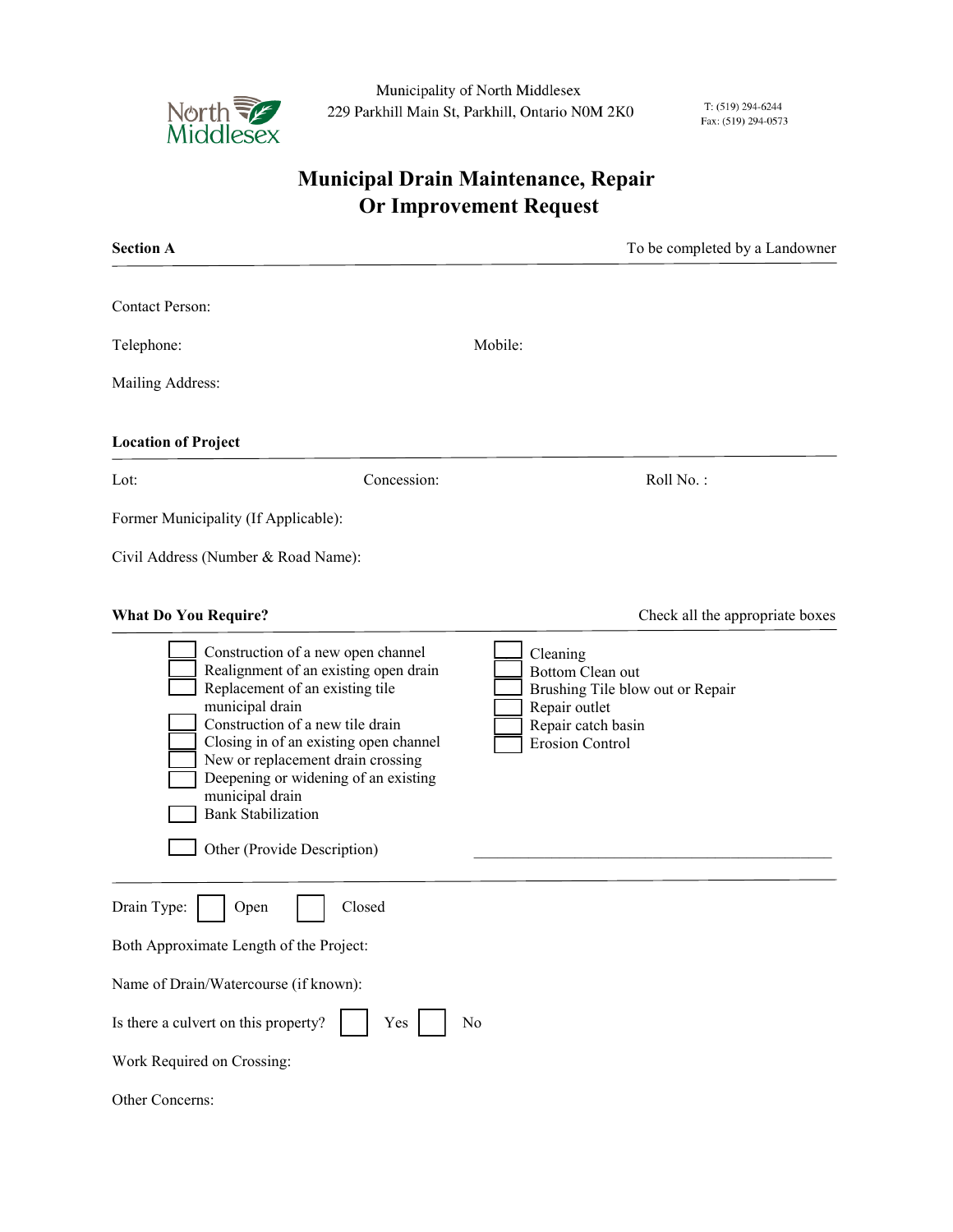

Municipality of North Middlesex 229 Parkhill Main St, Parkhill, Ontario N0M 2K0

T: (519) 294-6244 Fax: (519) 294-0573

## **Municipal Drain Maintenance, Repair Or Improvement Request**

| <b>Contact Person:</b><br>Mobile:<br>Telephone:<br>Mailing Address:<br><b>Location of Project</b>                                                                                                                                                                                                                                                                                                                                                                                                                | <b>Section A</b>    | To be completed by a Landowner  |
|------------------------------------------------------------------------------------------------------------------------------------------------------------------------------------------------------------------------------------------------------------------------------------------------------------------------------------------------------------------------------------------------------------------------------------------------------------------------------------------------------------------|---------------------|---------------------------------|
|                                                                                                                                                                                                                                                                                                                                                                                                                                                                                                                  |                     |                                 |
|                                                                                                                                                                                                                                                                                                                                                                                                                                                                                                                  |                     |                                 |
|                                                                                                                                                                                                                                                                                                                                                                                                                                                                                                                  |                     |                                 |
|                                                                                                                                                                                                                                                                                                                                                                                                                                                                                                                  |                     |                                 |
|                                                                                                                                                                                                                                                                                                                                                                                                                                                                                                                  | Lot:<br>Concession: | Roll No.:                       |
| Former Municipality (If Applicable):                                                                                                                                                                                                                                                                                                                                                                                                                                                                             |                     |                                 |
| Civil Address (Number & Road Name):                                                                                                                                                                                                                                                                                                                                                                                                                                                                              |                     |                                 |
| <b>What Do You Require?</b>                                                                                                                                                                                                                                                                                                                                                                                                                                                                                      |                     | Check all the appropriate boxes |
| Construction of a new open channel<br>Cleaning<br>Realignment of an existing open drain<br>Bottom Clean out<br>Replacement of an existing tile<br>Brushing Tile blow out or Repair<br>municipal drain<br>Repair outlet<br>Construction of a new tile drain<br>Repair catch basin<br>Closing in of an existing open channel<br><b>Erosion Control</b><br>New or replacement drain crossing<br>Deepening or widening of an existing<br>municipal drain<br><b>Bank Stabilization</b><br>Other (Provide Description) |                     |                                 |
| Closed<br>Drain Type:<br>Open<br>Both Approximate Length of the Project:                                                                                                                                                                                                                                                                                                                                                                                                                                         |                     |                                 |
| Name of Drain/Watercourse (if known):                                                                                                                                                                                                                                                                                                                                                                                                                                                                            |                     |                                 |
| Is there a culvert on this property?<br>Yes<br>No                                                                                                                                                                                                                                                                                                                                                                                                                                                                |                     |                                 |
| Work Required on Crossing:                                                                                                                                                                                                                                                                                                                                                                                                                                                                                       |                     |                                 |
| Other Concerns:                                                                                                                                                                                                                                                                                                                                                                                                                                                                                                  |                     |                                 |